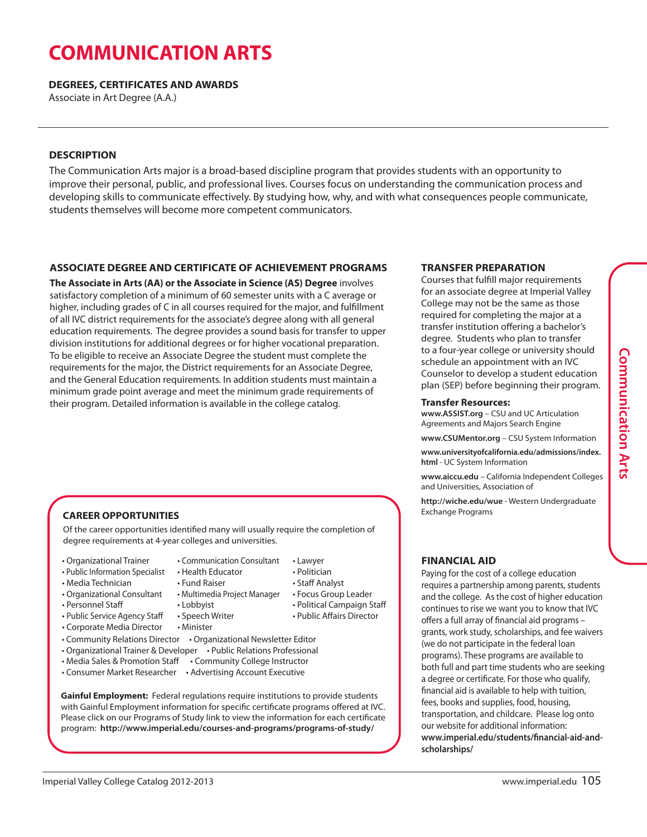# **COMMUNICATION ARTS**

**DEGREES, CERTIFICATES AND AWARDS**

Associate in Art Degree (A.A.)

### **DESCRIPTION**

The Communication Arts major is a broad-based discipline program that provides students with an opportunity to improve their personal, public, and professional lives. Courses focus on understanding the communication process and developing skills to communicate effectively. By studying how, why, and with what consequences people communicate, students themselves will become more competent communicators.

### **ASSOCIATE DEGREE AND CERTIFICATE OF ACHIEVEMENT PROGRAMS**

**The Associate in Arts (AA) or the Associate in Science (AS) Degree** involves satisfactory completion of a minimum of 60 semester units with a C average or higher, including grades of C in all courses required for the major, and fulfillment of all IVC district requirements for the associate's degree along with all general education requirements. The degree provides a sound basis for transfer to upper division institutions for additional degrees or for higher vocational preparation. To be eligible to receive an Associate Degree the student must complete the requirements for the major, the District requirements for an Associate Degree, and the General Education requirements. In addition students must maintain a minimum grade point average and meet the minimum grade requirements of their program. Detailed information is available in the college catalog.

### **CAREER OPPORTUNITIES**

Of the career opportunities identified many will usually require the completion of degree requirements at 4-year colleges and universities.

• Organizational Trainer

• Media Technician

- Public Information Specialist • Health Educator
- Communication Consultant • Lawyer • Politician
	- Staff Analyst
	- Fund Raiser • Multimedia Project Manager
- Organizational Consultant • Personnel Staff
- Public Service Agency Staff
	-
- Corporate Media Director
- 
- 
- Media Sales & Promotion Staff Community College Instructor
- Consumer Market Researcher Advertising Account Executive

**Gainful Employment:** Federal regulations require institutions to provide students with Gainful Employment information for specific certificate programs offered at IVC. Please click on our Programs of Study link to view the information for each certificate program: **http://www.imperial.edu/courses-and-programs/programs-of-study/**

### **TRANSFER PREPARATION**

Courses that fulfill major requirements for an associate degree at Imperial Valley College may not be the same as those required for completing the major at a transfer institution offering a bachelor's degree. Students who plan to transfer to a four-year college or university should schedule an appointment with an IVC Counselor to develop a student education plan (SEP) before beginning their program.

### **Transfer Resources:**

**www.ASSIST.org** – CSU and UC Articulation Agreements and Majors Search Engine

**www.CSUMentor.org** – CSU System Information

**www.universityofcalifornia.edu/admissions/index. html** - UC System Information

**www.aiccu.edu** – California Independent Colleges and Universities, Association of

**http://wiche.edu/wue** - Western Undergraduate Exchange Programs

### **FINANCIAL AID**

Paying for the cost of a college education requires a partnership among parents, students and the college. As the cost of higher education continues to rise we want you to know that IVC offers a full array of financial aid programs – grants, work study, scholarships, and fee waivers (we do not participate in the federal loan programs). These programs are available to both full and part time students who are seeking a degree or certificate. For those who qualify, financial aid is available to help with tuition, fees, books and supplies, food, housing, transportation, and childcare. Please log onto our website for additional information: **www.imperial.edu/students/financial-aid-andscholarships/**

- Lobbyist • Speech Writer
	- -
- Minister
- Community Relations Director Organizational Newsletter Editor
- Organizational Trainer & Developer Public Relations Professional

- Focus Group Leader
- Political Campaign Staff
- Public Affairs Director

- 
-